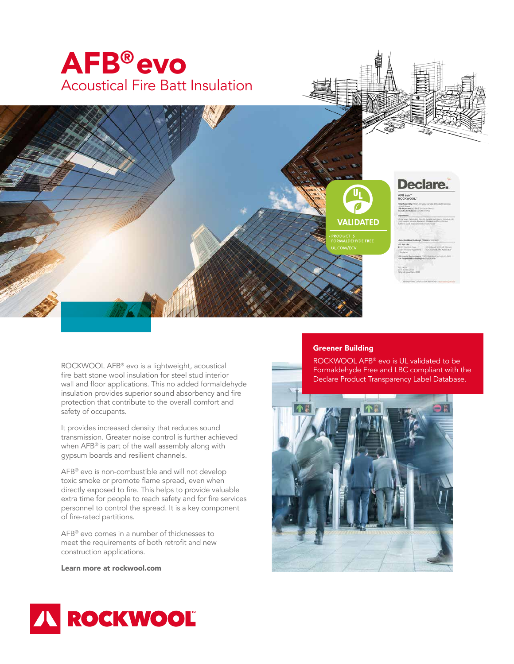



## Declare. AFB evo<sup>-</sup>

ROCKWOOL AFB® evo is a lightweight, acoustical fire batt stone wool insulation for steel stud interior wall and floor applications. This no added formaldehyde insulation provides superior sound absorbency and fire protection that contribute to the overall comfort and safety of occupants.

It provides increased density that reduces sound transmission. Greater noise control is further achieved when AFB® is part of the wall assembly along with gypsum boards and resilient channels.

AFB® evo is non-combustible and will not develop toxic smoke or promote flame spread, even when directly exposed to fire. This helps to provide valuable extra time for people to reach safety and for fire services personnel to control the spread. It is a key component of fire-rated partitions.

AFB® evo comes in a number of thicknesses to meet the requirements of both retrofit and new construction applications.

Learn more at rockwool.com

## Greener Building

**VALIDATED** 

ROCKWOOL AFB® evo is UL validated to be Formaldehyde Free and LBC compliant with the Declare Product Transparency Label Database.